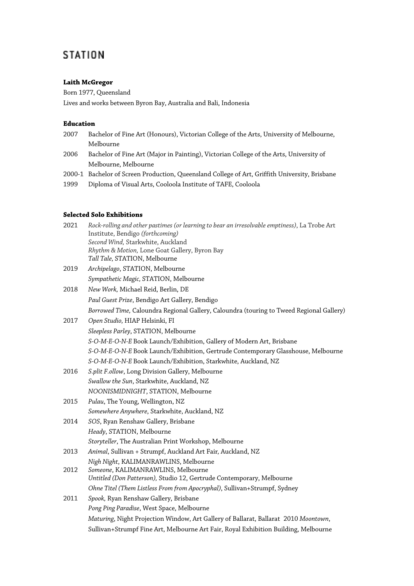# **STATION**

# **Laith McGregor**

Born 1977, Queensland Lives and works between Byron Bay, Australia and Bali, Indonesia

# **Education**

- 2007 Bachelor of Fine Art (Honours), Victorian College of the Arts, University of Melbourne, Melbourne
- 2006 Bachelor of Fine Art (Major in Painting), Victorian College of the Arts, University of Melbourne, Melbourne
- 2000-1 Bachelor of Screen Production, Queensland College of Art, Griffith University, Brisbane
- 1999 Diploma of Visual Arts, Cooloola Institute of TAFE, Cooloola

## **Selected Solo Exhibitions**

| 2021 | Rock-rolling and other pastimes (or learning to bear an irresolvable emptiness), La Trobe Art<br>Institute, Bendigo (forthcoming)<br>Second Wind, Starkwhite, Auckland |
|------|------------------------------------------------------------------------------------------------------------------------------------------------------------------------|
|      | Rhythm & Motion, Lone Goat Gallery, Byron Bay                                                                                                                          |
|      | Tall Tale, STATION, Melbourne                                                                                                                                          |
| 2019 | Archipelago, STATION, Melbourne                                                                                                                                        |
|      | Sympathetic Magic, STATION, Melbourne                                                                                                                                  |
| 2018 | New Work, Michael Reid, Berlin, DE                                                                                                                                     |
|      | Paul Guest Prize, Bendigo Art Gallery, Bendigo                                                                                                                         |
|      | Borrowed Time, Caloundra Regional Gallery, Caloundra (touring to Tweed Regional Gallery)                                                                               |
| 2017 | Open Studio, HIAP Helsinki, FI                                                                                                                                         |
|      | Sleepless Parley, STATION, Melbourne                                                                                                                                   |
|      | S-O-M-E-O-N-E Book Launch/Exhibition, Gallery of Modern Art, Brisbane                                                                                                  |
|      | S-O-M-E-O-N-E Book Launch/Exhibition, Gertrude Contemporary Glasshouse, Melbourne                                                                                      |
|      | S-O-M-E-O-N-E Book Launch/Exhibition, Starkwhite, Auckland, NZ                                                                                                         |
| 2016 | S.plit F.ollow, Long Division Gallery, Melbourne                                                                                                                       |
|      | Swallow the Sun, Starkwhite, Auckland, NZ                                                                                                                              |
|      | NOONISMIDNIGHT, STATION, Melbourne                                                                                                                                     |
| 2015 | Pulau, The Young, Wellington, NZ                                                                                                                                       |
|      | Somewhere Anywhere, Starkwhite, Auckland, NZ                                                                                                                           |
| 2014 | SOS, Ryan Renshaw Gallery, Brisbane                                                                                                                                    |
|      | Heady, STATION, Melbourne                                                                                                                                              |
|      | Storyteller, The Australian Print Workshop, Melbourne                                                                                                                  |
| 2013 | Animal, Sullivan + Strumpf, Auckland Art Fair, Auckland, NZ                                                                                                            |
|      | Nigh Night, KALIMANRAWLINS, Melbourne                                                                                                                                  |
| 2012 | Someone, KALIMANRAWLINS, Melbourne                                                                                                                                     |
|      | Untitled (Don Patterson), Studio 12, Gertrude Contemporary, Melbourne                                                                                                  |
|      | Ohne Titel (Them Listless From from Apocryphal), Sullivan+Strumpf, Sydney                                                                                              |
| 2011 | Spook, Ryan Renshaw Gallery, Brisbane                                                                                                                                  |
|      | Pong Ping Paradise, West Space, Melbourne                                                                                                                              |
|      | Maturing, Night Projection Window, Art Gallery of Ballarat, Ballarat 2010 Moontown,                                                                                    |
|      | Sullivan+Strumpf Fine Art, Melbourne Art Fair, Royal Exhibition Building, Melbourne                                                                                    |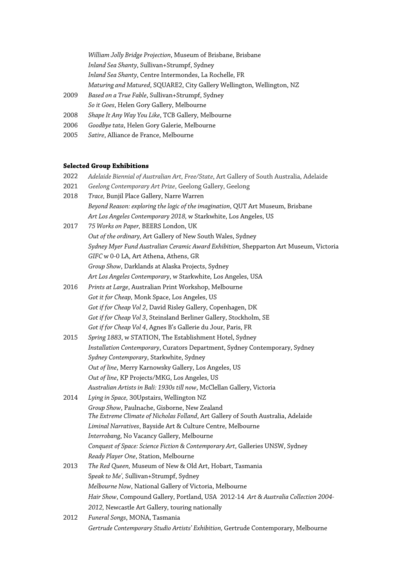*William Jolly Bridge Projection*, Museum of Brisbane, Brisbane *Inland Sea Shanty*, Sullivan+Strumpf, Sydney *Inland Sea Shanty*, Centre Intermondes, La Rochelle, FR *Maturing and Matured*, SQUARE2, City Gallery Wellington, Wellington, NZ 2009 *Based on a True Fable*, Sullivan+Strumpf, Sydney *So it Goes*, Helen Gory Gallery, Melbourne

- 2008 *Shape It Any Way You Like*, TCB Gallery, Melbourne
- 2006 *Goodbye tata*, Helen Gory Galerie, Melbourne
- 2005 *Satire*, Alliance de France, Melbourne

#### **Selected Group Exhibitions**

| 2022 | Adelaide Biennial of Australian Art, Free/State, Art Gallery of South Australia, Adelaide |
|------|-------------------------------------------------------------------------------------------|
| 2021 | Geelong Contemporary Art Prize, Geelong Gallery, Geelong                                  |
| 2018 | Trace, Bunjil Place Gallery, Narre Warren                                                 |
|      | Beyond Reason: exploring the logic of the imagination, QUT Art Museum, Brisbane           |
|      | Art Los Angeles Contemporary 2018, w Starkwhite, Los Angeles, US                          |
| 2017 | 75 Works on Paper, BEERS London, UK                                                       |
|      | Out of the ordinary, Art Gallery of New South Wales, Sydney                               |
|      | Sydney Myer Fund Australian Ceramic Award Exhibition, Shepparton Art Museum, Victoria     |
|      | GIFC w 0-0 LA, Art Athena, Athens, GR                                                     |
|      | Group Show, Darklands at Alaska Projects, Sydney                                          |
|      | Art Los Angeles Contemporary, w Starkwhite, Los Angeles, USA                              |
| 2016 | Prints at Large, Australian Print Workshop, Melbourne                                     |
|      | Got it for Cheap, Monk Space, Los Angeles, US                                             |
|      | Got if for Cheap Vol 2, David Risley Gallery, Copenhagen, DK                              |
|      | Got if for Cheap Vol 3, Steinsland Berliner Gallery, Stockholm, SE                        |
|      | Got if for Cheap Vol 4, Agnes B's Gallerie du Jour, Paris, FR                             |
| 2015 | Spring 1883, w STATION, The Establishment Hotel, Sydney                                   |
|      | Installation Contemporary, Curators Department, Sydney Contemporary, Sydney               |
|      | Sydney Contemporary, Starkwhite, Sydney                                                   |
|      | Out of line, Merry Karnowsky Gallery, Los Angeles, US                                     |
|      | Out of line, KP Projects/MKG, Los Angeles, US                                             |
|      | Australian Artists in Bali: 1930s till now, McClellan Gallery, Victoria                   |
| 2014 | Lying in Space, 30Upstairs, Wellington NZ                                                 |
|      | Group Show, Paulnache, Gisborne, New Zealand                                              |
|      | The Extreme Climate of Nicholas Folland, Art Gallery of South Australia, Adelaide         |
|      | Liminal Narratives, Bayside Art & Culture Centre, Melbourne                               |
|      | Interrobang, No Vacancy Gallery, Melbourne                                                |
|      | Conquest of Space: Science Fiction & Contemporary Art, Galleries UNSW, Sydney             |
|      | Ready Player One, Station, Melbourne                                                      |
| 2013 | The Red Queen, Museum of New & Old Art, Hobart, Tasmania                                  |
|      | Speak to Me', Sullivan+Strumpf, Sydney                                                    |
|      | Melbourne Now, National Gallery of Victoria, Melbourne                                    |
|      | Hair Show, Compound Gallery, Portland, USA 2012-14 Art & Australia Collection 2004-       |
|      | 2012, Newcastle Art Gallery, touring nationally                                           |
| 2012 | Funeral Songs, MONA, Tasmania                                                             |
|      | Gertrude Contemporary Studio Artists' Exhibition, Gertrude Contemporary, Melbourne        |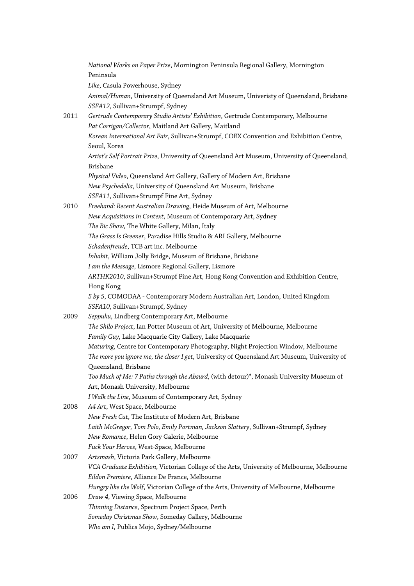*National Works on Paper Prize*, Mornington Peninsula Regional Gallery, Mornington Peninsula *Like*, Casula Powerhouse, Sydney *Animal/Human*, University of Queensland Art Museum, Univeristy of Queensland, Brisbane *SSFA12*, Sullivan+Strumpf, Sydney 2011 *Gertrude Contemporary Studio Artists' Exhibition*, Gertrude Contemporary, Melbourne *Pat Corrigan/Collector*, Maitland Art Gallery, Maitland *Korean International Art Fair*, Sullivan+Strumpf, COEX Convention and Exhibition Centre, Seoul, Korea *Artist's Self Portrait Prize*, University of Queensland Art Museum, University of Queensland, Brisbane *Physical Video*, Queensland Art Gallery, Gallery of Modern Art, Brisbane *New Psychedelia*, University of Queensland Art Museum, Brisbane *SSFA11*, Sullivan+Strumpf Fine Art, Sydney 2010 *Freehand: Recent Australian Drawing*, Heide Museum of Art, Melbourne *New Acquisitions in Context*, Museum of Contemporary Art, Sydney *The Bic Show*, The White Gallery, Milan, Italy *The Grass Is Greener*, Paradise Hills Studio & ARI Gallery, Melbourne *Schadenfreude*, TCB art inc. Melbourne *Inhabit*, William Jolly Bridge, Museum of Brisbane, Brisbane *I am the Message*, Lismore Regional Gallery, Lismore *ARTHK2010*, Sullivan+Strumpf Fine Art, Hong Kong Convention and Exhibition Centre, Hong Kong *5 by 5*, COMODAA - Contemporary Modern Australian Art, London, United Kingdom *SSFA10*, Sullivan+Strumpf, Sydney 2009 *Seppuku*, Lindberg Contemporary Art, Melbourne *The Shilo Project*, Ian Potter Museum of Art, University of Melbourne, Melbourne *Family Guy*, Lake Macquarie City Gallery, Lake Macquarie *Maturing*, Centre for Contemporary Photography, Night Projection Window, Melbourne *The more you ignore me, the closer I get*, University of Queensland Art Museum, University of Queensland, Brisbane *Too Much of Me: 7 Paths through the Absurd*, (with detour)\*, Monash University Museum of Art, Monash University, Melbourne *I Walk the Line*, Museum of Contemporary Art, Sydney 2008 *A4 Art*, West Space, Melbourne *New Fresh Cut*, The Institute of Modern Art, Brisbane *Laith McGregor, Tom Polo, Emily Portman, Jackson Slattery*, Sullivan+Strumpf, Sydney *New Romance*, Helen Gory Galerie, Melbourne *Fuck Your Heroes*, West-Space, Melbourne 2007 *Artsmash*, Victoria Park Gallery, Melbourne *VCA Graduate Exhibition*, Victorian College of the Arts, University of Melbourne, Melbourne *Eildon Premiere*, Alliance De France, Melbourne *Hungry like the Wolf*, Victorian College of the Arts, University of Melbourne, Melbourne 2006 *Draw 4*, Viewing Space, Melbourne *Thinning Distance*, Spectrum Project Space, Perth *Someday Christmas Show*, Someday Gallery, Melbourne *Who am I*, Publics Mojo, Sydney/Melbourne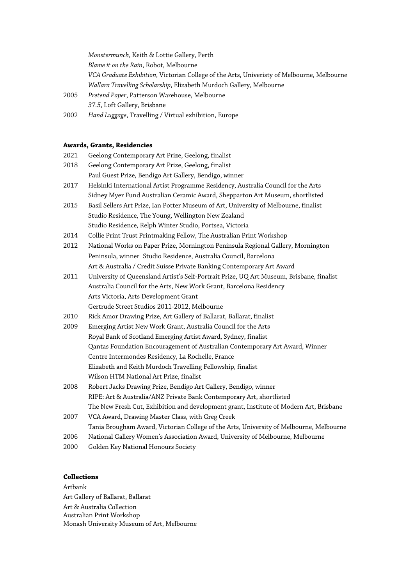*Monstermunch*, Keith & Lottie Gallery, Perth *Blame it on the Rain*, Robot, Melbourne *VCA Graduate Exhibition*, Victorian College of the Arts, Univeristy of Melbourne, Melbourne *Wallara Travelling Scholarship*, Elizabeth Murdoch Gallery, Melbourne

- 2005 *Pretend Paper*, Patterson Warehouse, Melbourne *37.5*, Loft Gallery, Brisbane
- 2002 *Hand Luggage*, Travelling / Virtual exhibition, Europe

### **Awards, Grants, Residencies**

- 2021 Geelong Contemporary Art Prize, Geelong, finalist
- 2018 Geelong Contemporary Art Prize, Geelong, finalist Paul Guest Prize, Bendigo Art Gallery, Bendigo, winner
- 2017 Helsinki International Artist Programme Residency, Australia Council for the Arts Sidney Myer Fund Australian Ceramic Award, Shepparton Art Museum, shortlisted
- 2015 Basil Sellers Art Prize, Ian Potter Museum of Art, University of Melbourne, finalist Studio Residence, The Young, Wellington New Zealand Studio Residence, Relph Winter Studio, Portsea, Victoria
- 2014 Collie Print Trust Printmaking Fellow, The Australian Print Workshop
- 2012 National Works on Paper Prize, Mornington Peninsula Regional Gallery, Mornington Peninsula, winner Studio Residence, Australia Council, Barcelona Art & Australia / Credit Suisse Private Banking Contemporary Art Award
- 2011 University of Queensland Artist's Self-Portrait Prize, UQ Art Museum, Brisbane, finalist Australia Council for the Arts, New Work Grant, Barcelona Residency Arts Victoria, Arts Development Grant Gertrude Street Studios 2011-2012, Melbourne
- 2010 Rick Amor Drawing Prize, Art Gallery of Ballarat, Ballarat, finalist
- 2009 Emerging Artist New Work Grant, Australia Council for the Arts Royal Bank of Scotland Emerging Artist Award, Sydney, finalist Qantas Foundation Encouragement of Australian Contemporary Art Award, Winner Centre Intermondes Residency, La Rochelle, France Elizabeth and Keith Murdoch Travelling Fellowship, finalist Wilson HTM National Art Prize, finalist
- 2008 Robert Jacks Drawing Prize, Bendigo Art Gallery, Bendigo, winner RIPE: Art & Australia/ANZ Private Bank Contemporary Art, shortlisted The New Fresh Cut, Exhibition and development grant, Institute of Modern Art, Brisbane
- 2007 VCA Award, Drawing Master Class, with Greg Creek Tania Brougham Award, Victorian College of the Arts, University of Melbourne, Melbourne
- 2006 National Gallery Women's Association Award, University of Melbourne, Melbourne
- 2000 Golden Key National Honours Society

# **Collections**

Artbank Art Gallery of Ballarat, Ballarat Art & Australia Collection Australian Print Workshop Monash University Museum of Art, Melbourne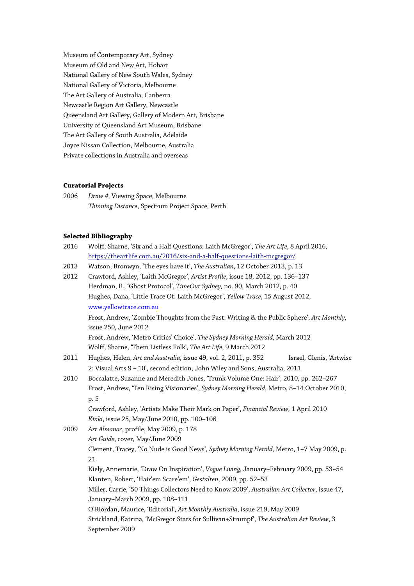Museum of Contemporary Art, Sydney Museum of Old and New Art, Hobart National Gallery of New South Wales, Sydney National Gallery of Victoria, Melbourne The Art Gallery of Australia, Canberra Newcastle Region Art Gallery, Newcastle Queensland Art Gallery, Gallery of Modern Art, Brisbane University of Queensland Art Museum, Brisbane The Art Gallery of South Australia, Adelaide Joyce Nissan Collection, Melbourne, Australia Private collections in Australia and overseas

## **Curatorial Projects**

| 2006 | <i>Draw 4</i> , Viewing Space, Melbourne         |
|------|--------------------------------------------------|
|      | Thinning Distance, Spectrum Project Space, Perth |

## **Selected Bibliography**

| 2016 | Wolff, Sharne, 'Six and a Half Questions: Laith McGregor', The Art Life, 8 April 2016,                                           |
|------|----------------------------------------------------------------------------------------------------------------------------------|
|      | https://theartlife.com.au/2016/six-and-a-half-questions-laith-mcgregor/                                                          |
| 2013 | Watson, Bronwyn, 'The eyes have it', The Australian, 12 October 2013, p. 13                                                      |
| 2012 | Crawford, Ashley, 'Laith McGregor', Artist Profile, issue 18, 2012, pp. 136-137                                                  |
|      | Herdman, E., 'Ghost Protocol', TimeOut Sydney, no. 90, March 2012, p. 40                                                         |
|      | Hughes, Dana, 'Little Trace Of: Laith McGregor', Yellow Trace, 15 August 2012,                                                   |
|      | www.yellowtrace.com.au                                                                                                           |
|      | Frost, Andrew, 'Zombie Thoughts from the Past: Writing & the Public Sphere', Art Monthly,<br>issue 250, June 2012                |
|      | Frost, Andrew, 'Metro Critics' Choice', The Sydney Morning Herald, March 2012                                                    |
|      | Wolff, Sharne, 'Them Listless Folk', The Art Life, 9 March 2012                                                                  |
| 2011 | Hughes, Helen, Art and Australia, issue 49, vol. 2, 2011, p. 352<br>Israel, Glenis, 'Artwise                                     |
|      | 2: Visual Arts 9 - 10', second edition, John Wiley and Sons, Australia, 2011                                                     |
| 2010 | Boccalatte, Suzanne and Meredith Jones, 'Trunk Volume One: Hair', 2010, pp. 262-267                                              |
|      | Frost, Andrew, 'Ten Rising Visionaries', Sydney Morning Herald, Metro, 8-14 October 2010,                                        |
|      | p. 5                                                                                                                             |
|      | Crawford, Ashley, 'Artists Make Their Mark on Paper', Financial Review, 1 April 2010                                             |
|      | Kinki, issue 25, May/June 2010, pp. 100-106                                                                                      |
| 2009 | Art Almanac, profile, May 2009, p. 178                                                                                           |
|      | Art Guide, cover, May/June 2009                                                                                                  |
|      | Clement, Tracey, 'No Nude is Good News', Sydney Morning Herald, Metro, 1-7 May 2009, p.                                          |
|      | 21                                                                                                                               |
|      | Kiely, Annemarie, 'Draw On Inspiration', Vogue Living, January-February 2009, pp. 53-54                                          |
|      | Klanten, Robert, 'Hair'em Scare'em', Gestalten, 2009, pp. 52-53                                                                  |
|      | Miller, Carrie, '50 Things Collectors Need to Know 2009', Australian Art Collector, issue 47,<br>January-March 2009, pp. 108-111 |
|      | O'Riordan, Maurice, 'Editorial', Art Monthly Australia, issue 219, May 2009                                                      |
|      | Strickland, Katrina, 'McGregor Stars for Sullivan+Strumpf', The Australian Art Review, 3<br>September 2009                       |